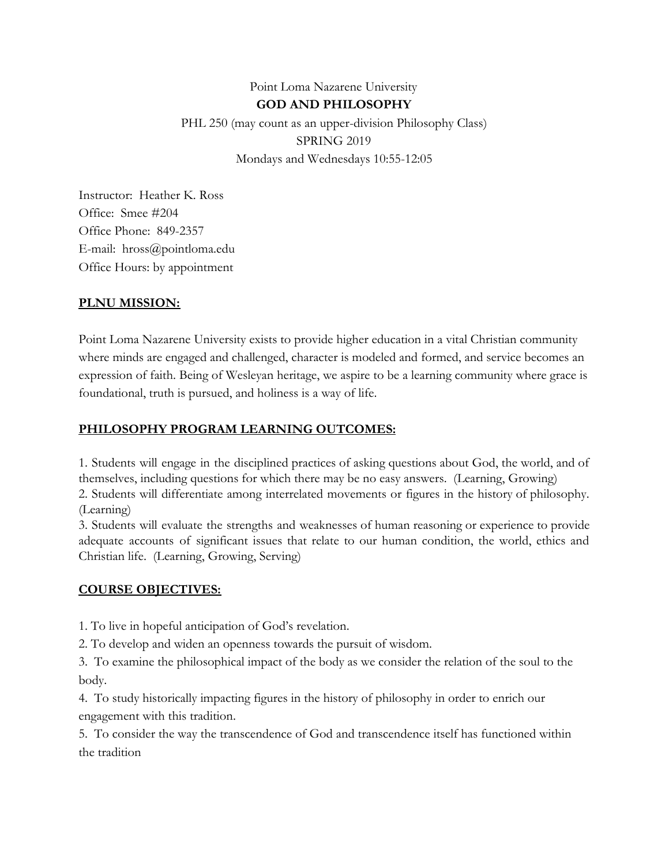## Point Loma Nazarene University **GOD AND PHILOSOPHY** PHL 250 (may count as an upper-division Philosophy Class) SPRING 2019 Mondays and Wednesdays 10:55-12:05

Instructor: Heather K. Ross Office: Smee #204 Office Phone: 849-2357 E-mail: hross@pointloma.edu Office Hours: by appointment

#### **PLNU MISSION:**

Point Loma Nazarene University exists to provide higher education in a vital Christian community where minds are engaged and challenged, character is modeled and formed, and service becomes an expression of faith. Being of Wesleyan heritage, we aspire to be a learning community where grace is foundational, truth is pursued, and holiness is a way of life.

#### **PHILOSOPHY PROGRAM LEARNING OUTCOMES:**

1. Students will engage in the disciplined practices of asking questions about God, the world, and of themselves, including questions for which there may be no easy answers. (Learning, Growing)

2. Students will differentiate among interrelated movements or figures in the history of philosophy. (Learning)

3. Students will evaluate the strengths and weaknesses of human reasoning or experience to provide adequate accounts of significant issues that relate to our human condition, the world, ethics and Christian life. (Learning, Growing, Serving)

#### **COURSE OBJECTIVES:**

1. To live in hopeful anticipation of God's revelation.

2. To develop and widen an openness towards the pursuit of wisdom.

3. To examine the philosophical impact of the body as we consider the relation of the soul to the body.

4. To study historically impacting figures in the history of philosophy in order to enrich our engagement with this tradition.

5. To consider the way the transcendence of God and transcendence itself has functioned within the tradition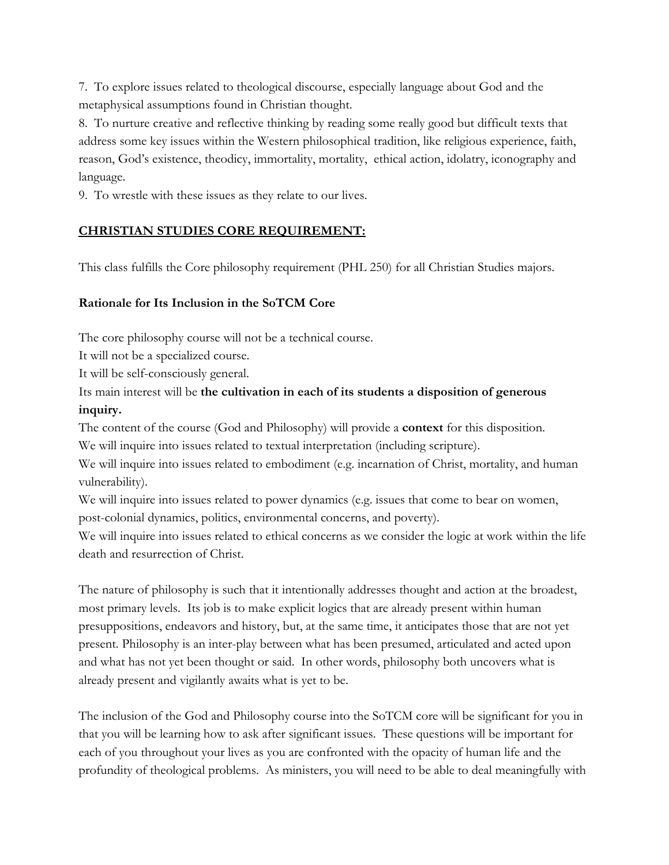7. To explore issues related to theological discourse, especially language about God and the metaphysical assumptions found in Christian thought.

8. To nurture creative and reflective thinking by reading some really good but difficult texts that address some key issues within the Western philosophical tradition, like religious experience, faith, reason, God's existence, theodicy, immortality, mortality, ethical action, idolatry, iconography and language.

9. To wrestle with these issues as they relate to our lives.

### **CHRISTIAN STUDIES CORE REQUIREMENT:**

This class fulfills the Core philosophy requirement (PHL 250) for all Christian Studies majors.

### **Rationale for Its Inclusion in the SoTCM Core**

The core philosophy course will not be a technical course.

It will not be a specialized course.

It will be self-consciously general.

### Its main interest will be **the cultivation in each of its students a disposition of generous inquiry.**

The content of the course (God and Philosophy) will provide a **context** for this disposition. We will inquire into issues related to textual interpretation (including scripture).

We will inquire into issues related to embodiment (e.g. incarnation of Christ, mortality, and human vulnerability).

We will inquire into issues related to power dynamics (e.g. issues that come to bear on women, post-colonial dynamics, politics, environmental concerns, and poverty).

We will inquire into issues related to ethical concerns as we consider the logic at work within the life death and resurrection of Christ.

The nature of philosophy is such that it intentionally addresses thought and action at the broadest, most primary levels. Its job is to make explicit logics that are already present within human presuppositions, endeavors and history, but, at the same time, it anticipates those that are not yet present. Philosophy is an inter-play between what has been presumed, articulated and acted upon and what has not yet been thought or said. In other words, philosophy both uncovers what is already present and vigilantly awaits what is yet to be.

The inclusion of the God and Philosophy course into the SoTCM core will be significant for you in that you will be learning how to ask after significant issues. These questions will be important for each of you throughout your lives as you are confronted with the opacity of human life and the profundity of theological problems. As ministers, you will need to be able to deal meaningfully with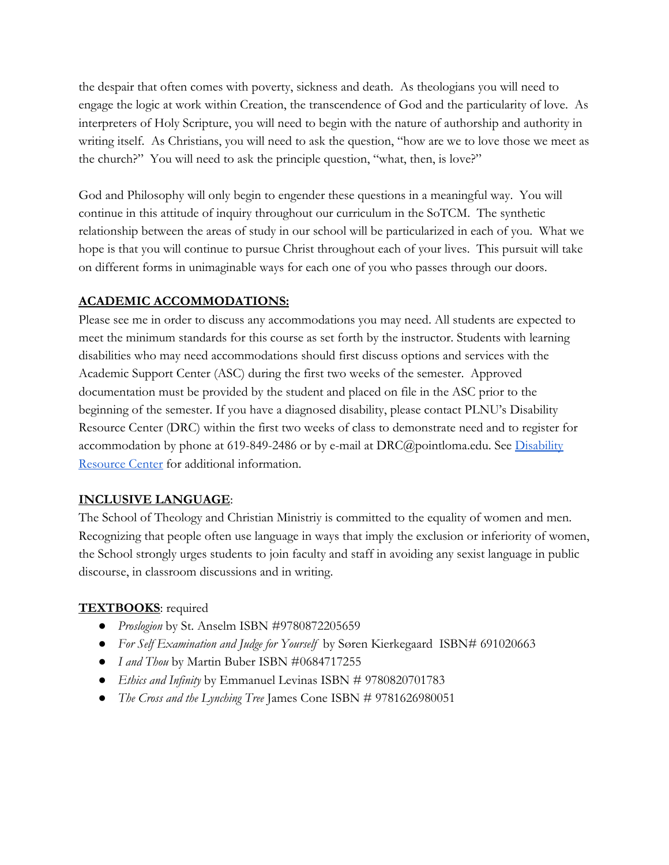the despair that often comes with poverty, sickness and death. As theologians you will need to engage the logic at work within Creation, the transcendence of God and the particularity of love. As interpreters of Holy Scripture, you will need to begin with the nature of authorship and authority in writing itself. As Christians, you will need to ask the question, "how are we to love those we meet as the church?" You will need to ask the principle question, "what, then, is love?"

God and Philosophy will only begin to engender these questions in a meaningful way. You will continue in this attitude of inquiry throughout our curriculum in the SoTCM. The synthetic relationship between the areas of study in our school will be particularized in each of you. What we hope is that you will continue to pursue Christ throughout each of your lives. This pursuit will take on different forms in unimaginable ways for each one of you who passes through our doors.

## **ACADEMIC ACCOMMODATIONS:**

Please see me in order to discuss any accommodations you may need. All students are expected to meet the minimum standards for this course as set forth by the instructor. Students with learning disabilities who may need accommodations should first discuss options and services with the Academic Support Center (ASC) during the first two weeks of the semester. Approved documentation must be provided by the student and placed on file in the ASC prior to the beginning of the semester. If you have a diagnosed disability, please contact PLNU's Disability Resource Center (DRC) within the first two weeks of class to demonstrate need and to register for accommodation by phone at 619-849-2486 or by e-mail at  $DRC@$  pointloma.edu. See [Disability](http://www.pointloma.edu/experience/offices/administrative-offices/academic-advising-office/disability-resource-center) [Resource Center](http://www.pointloma.edu/experience/offices/administrative-offices/academic-advising-office/disability-resource-center) for additional information.

### **INCLUSIVE LANGUAGE**:

The School of Theology and Christian Ministriy is committed to the equality of women and men. Recognizing that people often use language in ways that imply the exclusion or inferiority of women, the School strongly urges students to join faculty and staff in avoiding any sexist language in public discourse, in classroom discussions and in writing.

### **TEXTBOOKS**: required

- *Proslogion* by St. Anselm ISBN #9780872205659
- *For Self Examination and Judge for Yourself* by Søren Kierkegaard ISBN# 691020663
- *I and Thou* by Martin Buber ISBN #0684717255
- *Ethics and Infinity* by Emmanuel Levinas ISBN # 9780820701783
- *The Cross and the Lynching Tree* James Cone ISBN # 9781626980051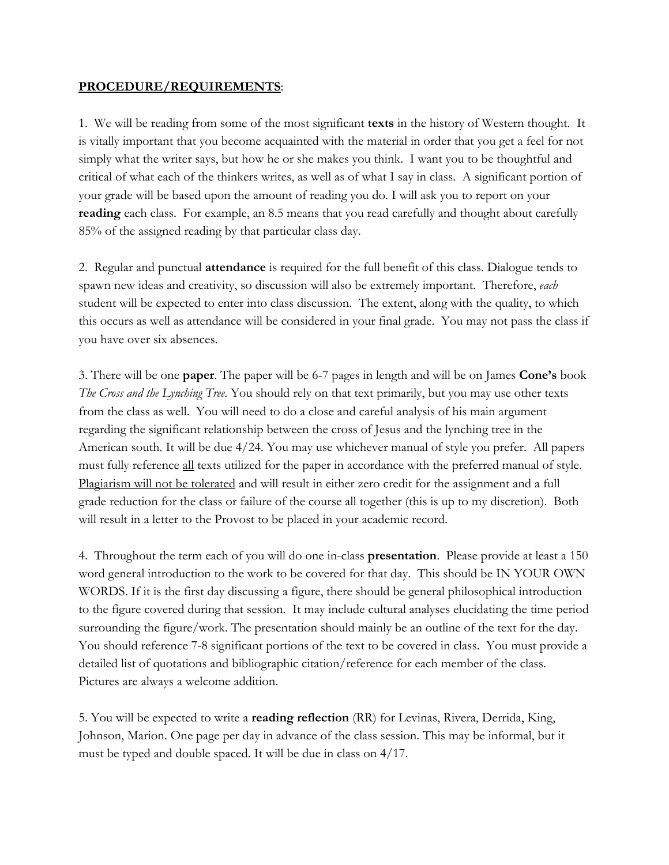#### **PROCEDURE/REQUIREMENTS**:

1. We will be reading from some of the most significant **texts** in the history of Western thought. It is vitally important that you become acquainted with the material in order that you get a feel for not simply what the writer says, but how he or she makes you think. I want you to be thoughtful and critical of what each of the thinkers writes, as well as of what I say in class. A significant portion of your grade will be based upon the amount of reading you do. I will ask you to report on your **reading** each class. For example, an 8.5 means that you read carefully and thought about carefully 85% of the assigned reading by that particular class day.

2. Regular and punctual **attendance** is required for the full benefit of this class. Dialogue tends to spawn new ideas and creativity, so discussion will also be extremely important. Therefore, *each* student will be expected to enter into class discussion. The extent, along with the quality, to which this occurs as well as attendance will be considered in your final grade. You may not pass the class if you have over six absences.

3. There will be one **paper**. The paper will be 6-7 pages in length and will be on James **Cone's** book *The Cross and the Lynching Tree*. You should rely on that text primarily, but you may use other texts from the class as well. You will need to do a close and careful analysis of his main argument regarding the significant relationship between the cross of Jesus and the lynching tree in the American south. It will be due 4/24. You may use whichever manual of style you prefer. All papers must fully reference all texts utilized for the paper in accordance with the preferred manual of style. Plagiarism will not be tolerated and will result in either zero credit for the assignment and a full grade reduction for the class or failure of the course all together (this is up to my discretion). Both will result in a letter to the Provost to be placed in your academic record.

4. Throughout the term each of you will do one in-class **presentation**. Please provide at least a 150 word general introduction to the work to be covered for that day. This should be IN YOUR OWN WORDS. If it is the first day discussing a figure, there should be general philosophical introduction to the figure covered during that session. It may include cultural analyses elucidating the time period surrounding the figure/work. The presentation should mainly be an outline of the text for the day. You should reference 7-8 significant portions of the text to be covered in class. You must provide a detailed list of quotations and bibliographic citation/reference for each member of the class. Pictures are always a welcome addition.

5. You will be expected to write a **reading reflection** (RR) for Levinas, Rivera, Derrida, King, Johnson, Marion. One page per day in advance of the class session. This may be informal, but it must be typed and double spaced. It will be due in class on 4/17.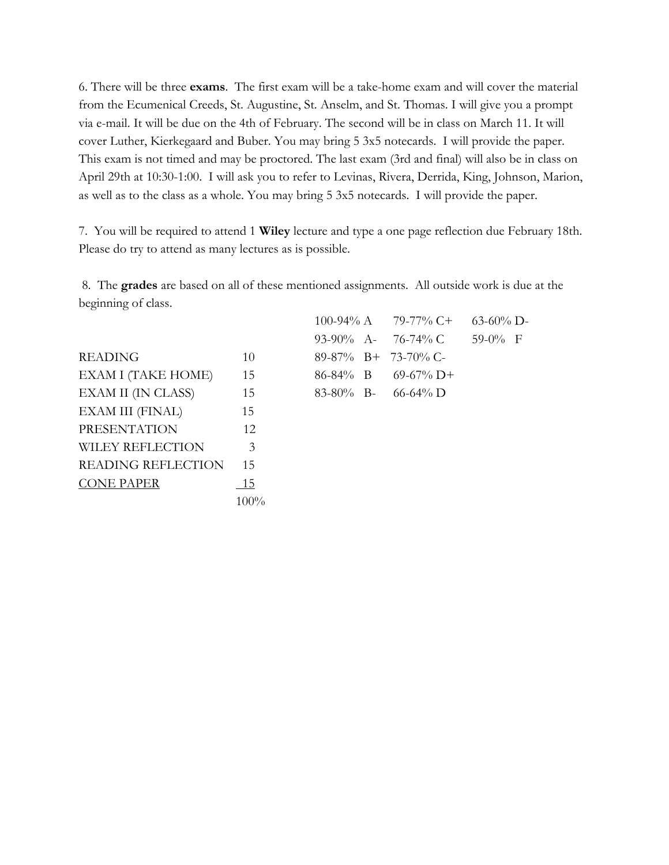6. There will be three **exams**. The first exam will be a take-home exam and will cover the material from the Ecumenical Creeds, St. Augustine, St. Anselm, and St. Thomas. I will give you a prompt via e-mail. It will be due on the 4th of February. The second will be in class on March 11. It will cover Luther, Kierkegaard and Buber. You may bring 5 3x5 notecards. I will provide the paper. This exam is not timed and may be proctored. The last exam (3rd and final) will also be in class on April 29th at 10:30-1:00. I will ask you to refer to Levinas, Rivera, Derrida, King, Johnson, Marion, as well as to the class as a whole. You may bring 5 3x5 notecards. I will provide the paper.

7. You will be required to attend 1 **Wiley** lecture and type a one page reflection due February 18th. Please do try to attend as many lectures as is possible.

 8. The **grades** are based on all of these mentioned assignments. All outside work is due at the beginning of class.

 $READING$  10  $EXAM I (TAKE HOME)$  15 8  $EXAM II (IN CLASS)$  15 EXAM III (FINAL) 15 PRESENTATION 12 WILEY REFLECTION 3 READING REFLECTION 15 CONE PAPER 15 100%

|  | $100-94\%$ A $79-77\%$ C+ 63-60% D- |           |  |
|--|-------------------------------------|-----------|--|
|  | 93-90% A- 76-74% C                  | $59-0%$ F |  |
|  | 89-87% B+ 73-70% C-                 |           |  |
|  | $86-84\%$ B $69-67\%$ D+            |           |  |
|  | $83-80\%$ B- 66-64% D               |           |  |
|  |                                     |           |  |